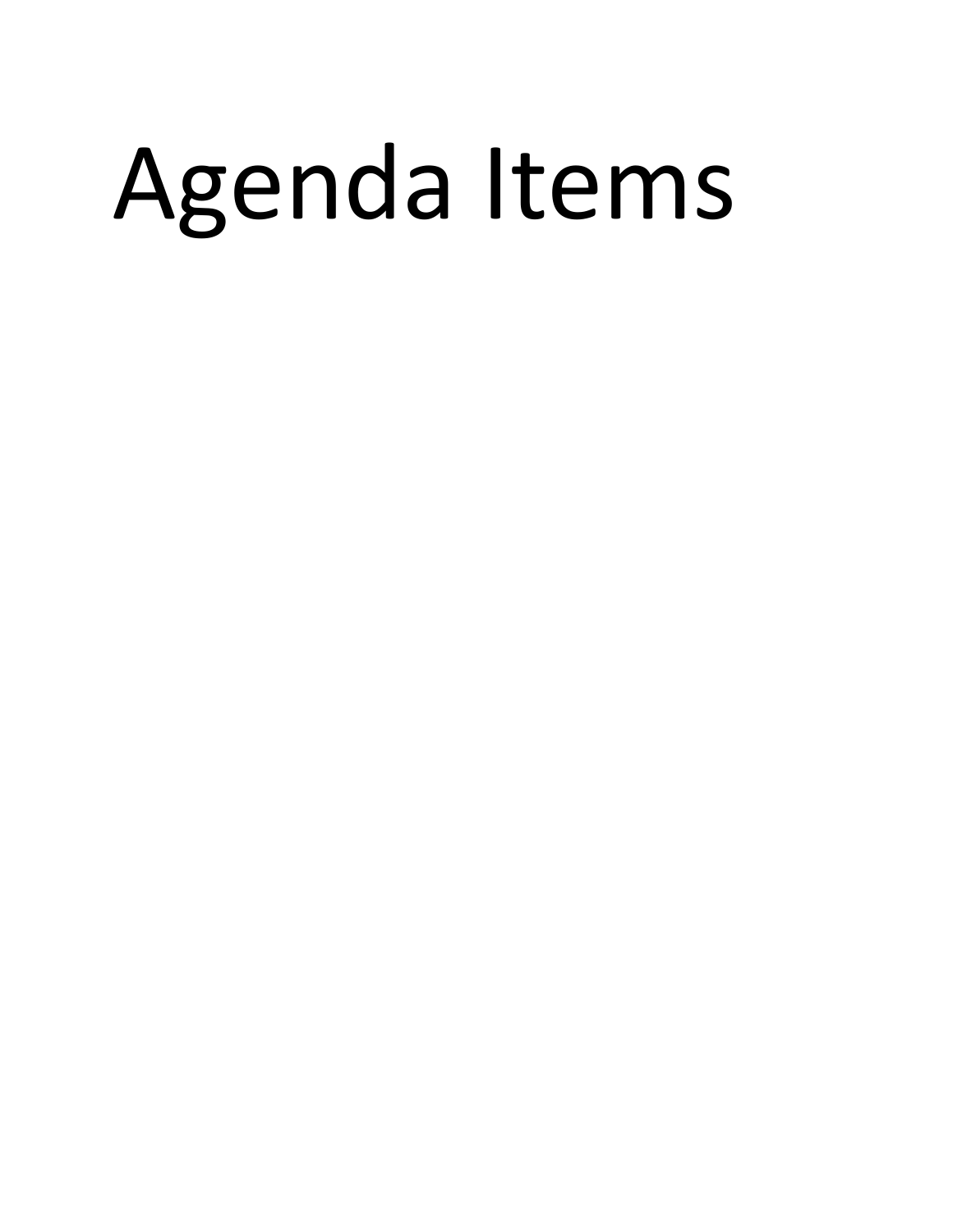# Agenda Items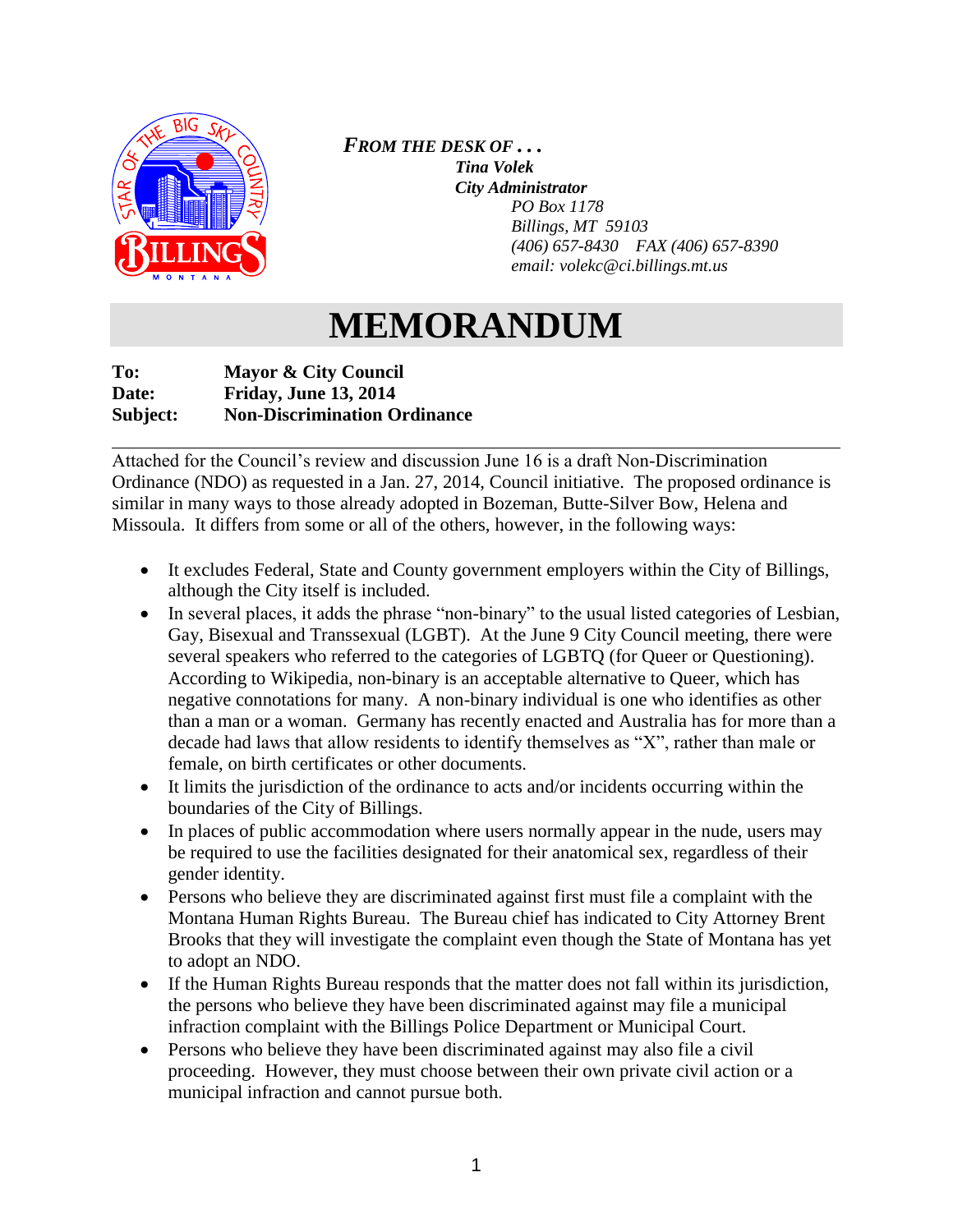

*FROM THE DESK OF . . . Tina Volek City Administrator PO Box 1178 Billings, MT 59103 (406) 657-8430 FAX (406) 657-8390 email: volekc@ci.billings.mt.us*

# **MEMORANDUM**

#### **To: Mayor & City Council Date: Friday, June 13, 2014 Subject: Non-Discrimination Ordinance**

Attached for the Council's review and discussion June 16 is a draft Non-Discrimination Ordinance (NDO) as requested in a Jan. 27, 2014, Council initiative. The proposed ordinance is similar in many ways to those already adopted in Bozeman, Butte-Silver Bow, Helena and Missoula. It differs from some or all of the others, however, in the following ways:

- It excludes Federal, State and County government employers within the City of Billings, although the City itself is included.
- In several places, it adds the phrase "non-binary" to the usual listed categories of Lesbian, Gay, Bisexual and Transsexual (LGBT). At the June 9 City Council meeting, there were several speakers who referred to the categories of LGBTQ (for Queer or Questioning). According to Wikipedia, non-binary is an acceptable alternative to Queer, which has negative connotations for many. A non-binary individual is one who identifies as other than a man or a woman. Germany has recently enacted and Australia has for more than a decade had laws that allow residents to identify themselves as "X", rather than male or female, on birth certificates or other documents.
- It limits the jurisdiction of the ordinance to acts and/or incidents occurring within the boundaries of the City of Billings.
- In places of public accommodation where users normally appear in the nude, users may be required to use the facilities designated for their anatomical sex, regardless of their gender identity.
- Persons who believe they are discriminated against first must file a complaint with the Montana Human Rights Bureau. The Bureau chief has indicated to City Attorney Brent Brooks that they will investigate the complaint even though the State of Montana has yet to adopt an NDO.
- If the Human Rights Bureau responds that the matter does not fall within its jurisdiction, the persons who believe they have been discriminated against may file a municipal infraction complaint with the Billings Police Department or Municipal Court.
- Persons who believe they have been discriminated against may also file a civil proceeding. However, they must choose between their own private civil action or a municipal infraction and cannot pursue both.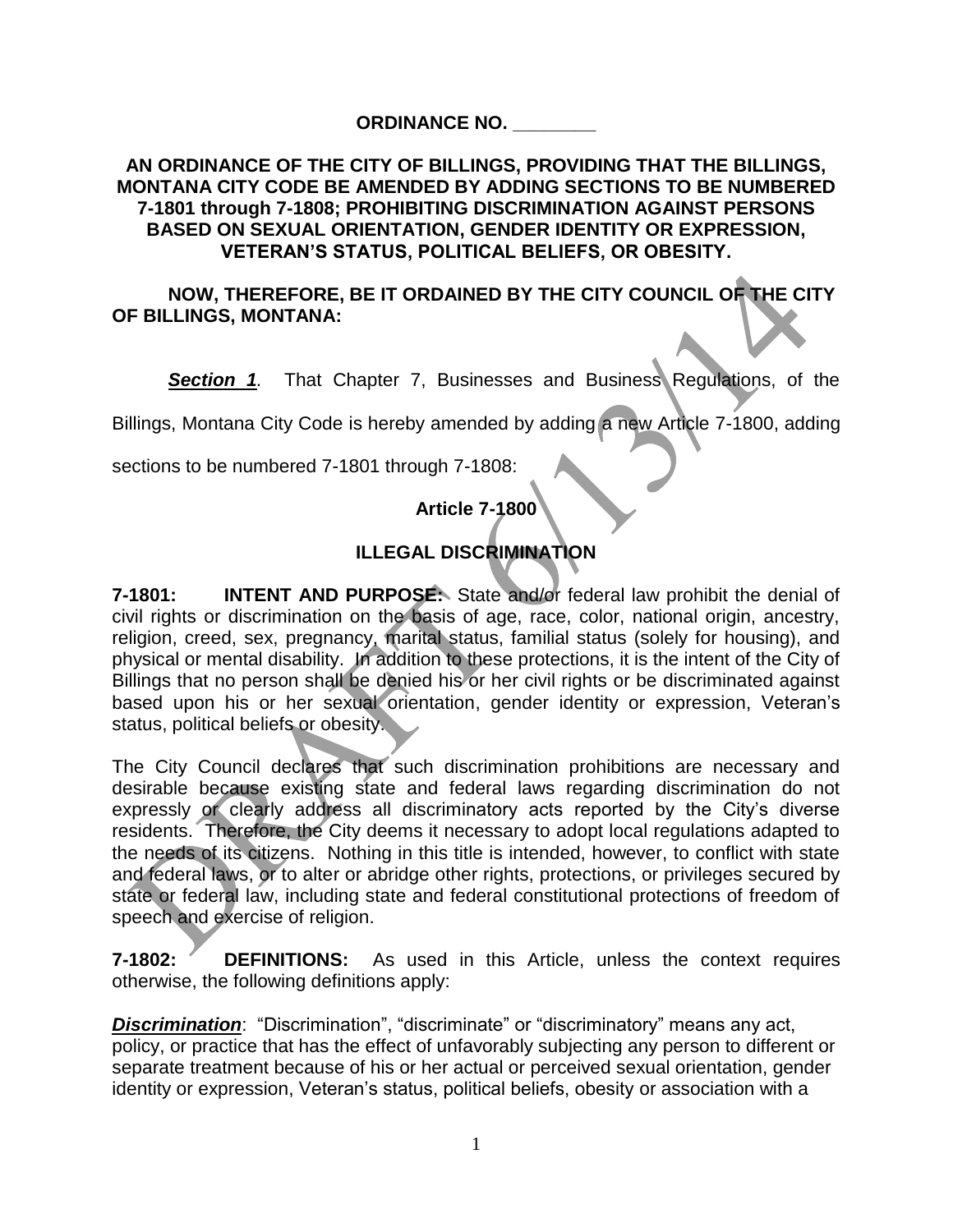#### **ORDINANCE NO. \_\_\_\_\_\_\_\_**

#### **AN ORDINANCE OF THE CITY OF BILLINGS, PROVIDING THAT THE BILLINGS, MONTANA CITY CODE BE AMENDED BY ADDING SECTIONS TO BE NUMBERED 7-1801 through 7-1808; PROHIBITING DISCRIMINATION AGAINST PERSONS BASED ON SEXUAL ORIENTATION, GENDER IDENTITY OR EXPRESSION, VETERAN'S STATUS, POLITICAL BELIEFS, OR OBESITY.**

#### **NOW, THEREFORE, BE IT ORDAINED BY THE CITY COUNCIL OF THE CITY OF BILLINGS, MONTANA:**

**Section 1.** That Chapter 7, Businesses and Business Regulations, of the

Billings, Montana City Code is hereby amended by adding a new Article 7-1800, adding

sections to be numbered 7-1801 through 7-1808:

# **Article 7-1800**

### **ILLEGAL DISCRIMINATION**

**7-1801: INTENT AND PURPOSE:** State and/or federal law prohibit the denial of civil rights or discrimination on the basis of age, race, color, national origin, ancestry, religion, creed, sex, pregnancy, marital status, familial status (solely for housing), and physical or mental disability. In addition to these protections, it is the intent of the City of Billings that no person shall be denied his or her civil rights or be discriminated against based upon his or her sexual orientation, gender identity or expression, Veteran's status, political beliefs or obesity.

The City Council declares that such discrimination prohibitions are necessary and desirable because existing state and federal laws regarding discrimination do not expressly or clearly address all discriminatory acts reported by the City's diverse residents. Therefore, the City deems it necessary to adopt local regulations adapted to the needs of its citizens. Nothing in this title is intended, however, to conflict with state and federal laws, or to alter or abridge other rights, protections, or privileges secured by state or federal law, including state and federal constitutional protections of freedom of speech and exercise of religion.

**7-1802: DEFINITIONS:** As used in this Article, unless the context requires otherwise, the following definitions apply:

*Discrimination*: "Discrimination", "discriminate" or "discriminatory" means any act, policy, or practice that has the effect of unfavorably subjecting any person to different or separate treatment because of his or her actual or perceived sexual orientation, gender identity or expression, Veteran's status, political beliefs, obesity or association with a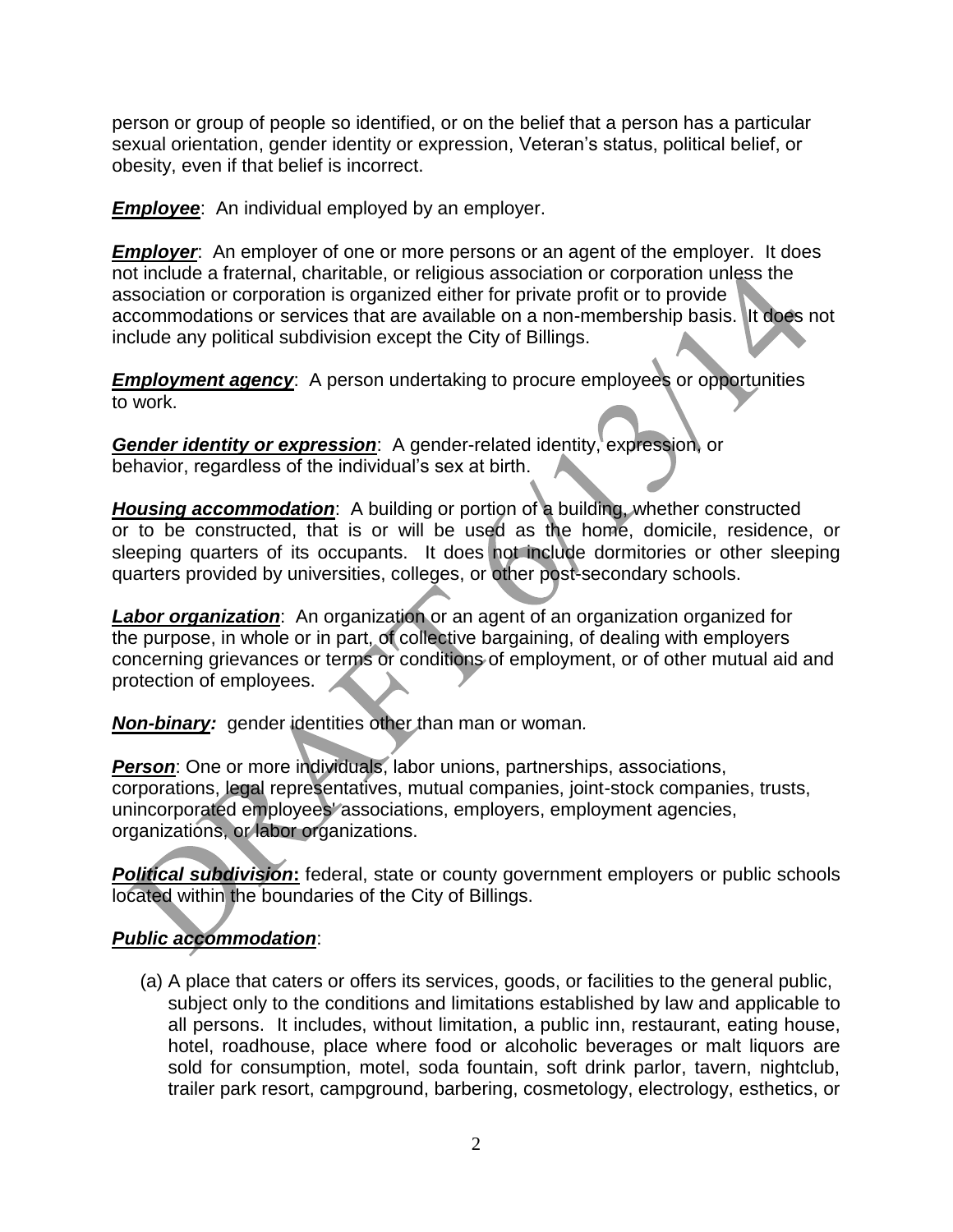person or group of people so identified, or on the belief that a person has a particular sexual orientation, gender identity or expression, Veteran's status, political belief, or obesity, even if that belief is incorrect.

*Employee*: An individual employed by an employer.

*Employer*: An employer of one or more persons or an agent of the employer. It does not include a fraternal, charitable, or religious association or corporation unless the association or corporation is organized either for private profit or to provide accommodations or services that are available on a non-membership basis. It does not include any political subdivision except the City of Billings.

**Employment agency**: A person undertaking to procure employees or opportunities to work.

*Gender identity or expression*: A gender-related identity, expression, or behavior, regardless of the individual's sex at birth.

*Housing accommodation*: A building or portion of a building, whether constructed or to be constructed, that is or will be used as the home, domicile, residence, or sleeping quarters of its occupants. It does not include dormitories or other sleeping quarters provided by universities, colleges, or other post-secondary schools.

*Labor organization*: An organization or an agent of an organization organized for the purpose, in whole or in part, of collective bargaining, of dealing with employers concerning grievances or terms or conditions of employment, or of other mutual aid and protection of employees.

*Non-binary:* gender identities other than man or woman*.*

*Person:* One or more individuals, labor unions, partnerships, associations, corporations, legal representatives, mutual companies, joint-stock companies, trusts, unincorporated employees' associations, employers, employment agencies, organizations, or labor organizations.

**Political subdivision:** federal, state or county government employers or public schools located within the boundaries of the City of Billings.

# *Public accommodation*:

(a) A place that caters or offers its services, goods, or facilities to the general public, subject only to the conditions and limitations established by law and applicable to all persons. It includes, without limitation, a public inn, restaurant, eating house, hotel, roadhouse, place where food or alcoholic beverages or malt liquors are sold for consumption, motel, soda fountain, soft drink parlor, tavern, nightclub, trailer park resort, campground, barbering, cosmetology, electrology, esthetics, or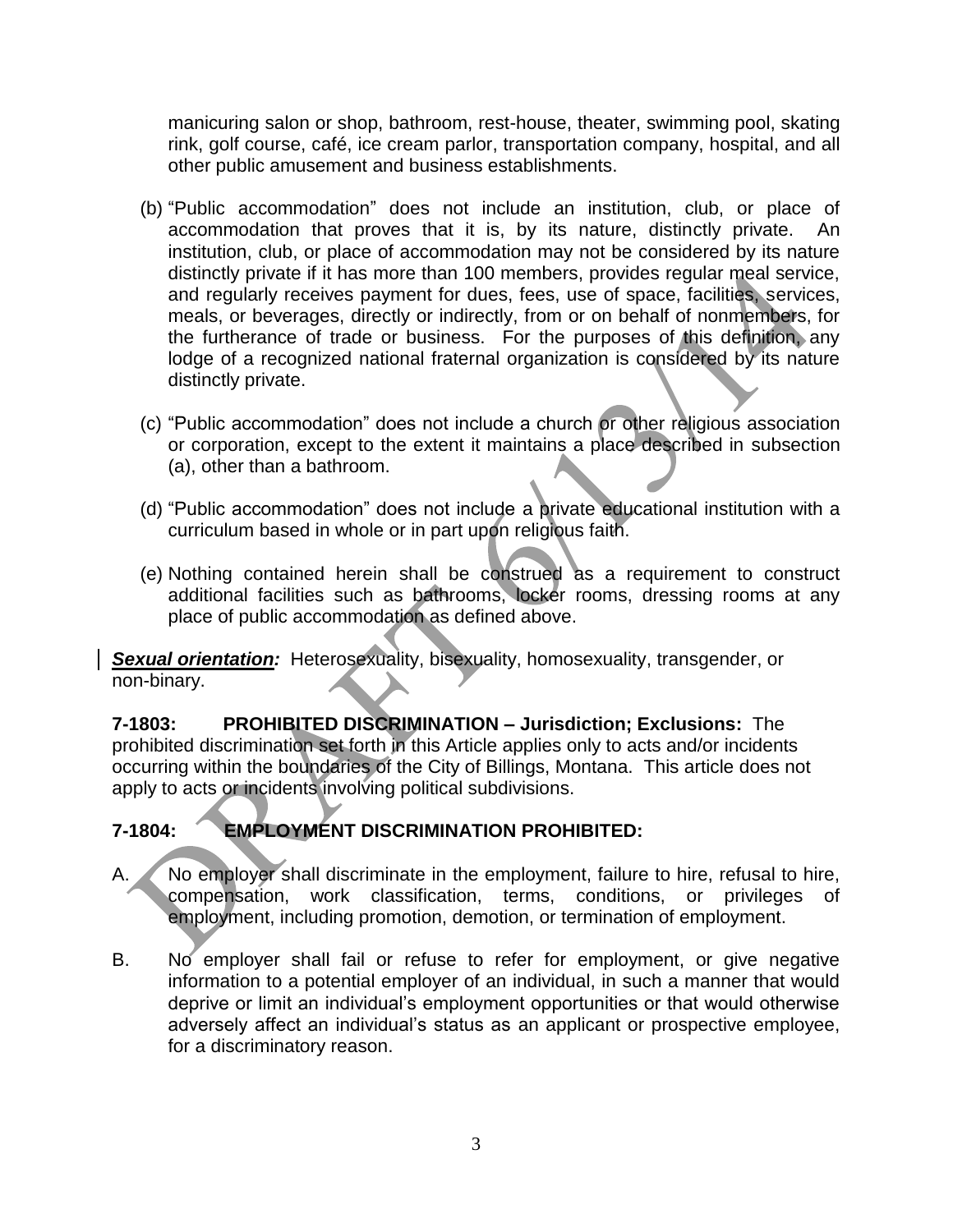manicuring salon or shop, bathroom, rest-house, theater, swimming pool, skating rink, golf course, café, ice cream parlor, transportation company, hospital, and all other public amusement and business establishments.

- (b) "Public accommodation" does not include an institution, club, or place of accommodation that proves that it is, by its nature, distinctly private. An institution, club, or place of accommodation may not be considered by its nature distinctly private if it has more than 100 members, provides regular meal service, and regularly receives payment for dues, fees, use of space, facilities, services, meals, or beverages, directly or indirectly, from or on behalf of nonmembers, for the furtherance of trade or business. For the purposes of this definition, any lodge of a recognized national fraternal organization is considered by its nature distinctly private.
- (c) "Public accommodation" does not include a church or other religious association or corporation, except to the extent it maintains a place described in subsection (a), other than a bathroom.
- (d) "Public accommodation" does not include a private educational institution with a curriculum based in whole or in part upon religious faith.
- (e) Nothing contained herein shall be construed as a requirement to construct additional facilities such as bathrooms, locker rooms, dressing rooms at any place of public accommodation as defined above.

*Sexual orientation:* Heterosexuality, bisexuality, homosexuality, transgender, or non-binary.

**7-1803: PROHIBITED DISCRIMINATION – Jurisdiction; Exclusions:** The prohibited discrimination set forth in this Article applies only to acts and/or incidents occurring within the boundaries of the City of Billings, Montana. This article does not apply to acts or incidents involving political subdivisions.

### **7-1804: EMPLOYMENT DISCRIMINATION PROHIBITED:**

- A. No employer shall discriminate in the employment, failure to hire, refusal to hire, compensation, work classification, terms, conditions, or privileges of employment, including promotion, demotion, or termination of employment.
- B. No employer shall fail or refuse to refer for employment, or give negative information to a potential employer of an individual, in such a manner that would deprive or limit an individual's employment opportunities or that would otherwise adversely affect an individual's status as an applicant or prospective employee, for a discriminatory reason.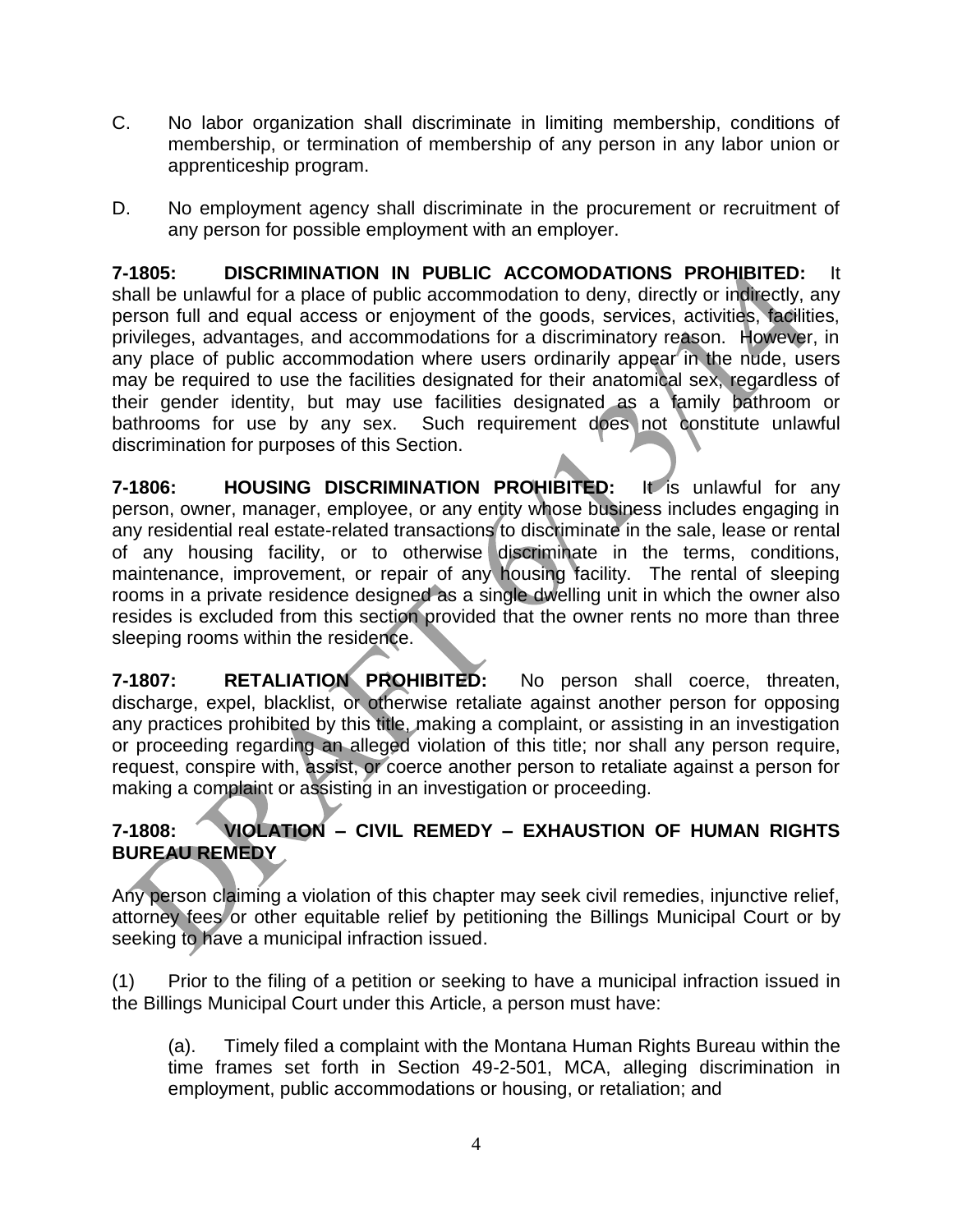- C. No labor organization shall discriminate in limiting membership, conditions of membership, or termination of membership of any person in any labor union or apprenticeship program.
- D. No employment agency shall discriminate in the procurement or recruitment of any person for possible employment with an employer.

**7-1805: DISCRIMINATION IN PUBLIC ACCOMODATIONS PROHIBITED:** It shall be unlawful for a place of public accommodation to deny, directly or indirectly, any person full and equal access or enjoyment of the goods, services, activities, facilities, privileges, advantages, and accommodations for a discriminatory reason. However, in any place of public accommodation where users ordinarily appear in the nude, users may be required to use the facilities designated for their anatomical sex, regardless of their gender identity, but may use facilities designated as a family bathroom or bathrooms for use by any sex. Such requirement does not constitute unlawful discrimination for purposes of this Section.

**7-1806: HOUSING DISCRIMINATION PROHIBITED:** It is unlawful for any person, owner, manager, employee, or any entity whose business includes engaging in any residential real estate-related transactions to discriminate in the sale, lease or rental of any housing facility, or to otherwise discriminate in the terms, conditions, maintenance, improvement, or repair of any housing facility. The rental of sleeping rooms in a private residence designed as a single dwelling unit in which the owner also resides is excluded from this section provided that the owner rents no more than three sleeping rooms within the residence.

**7-1807: RETALIATION PROHIBITED:** No person shall coerce, threaten, discharge, expel, blacklist, or otherwise retaliate against another person for opposing any practices prohibited by this title, making a complaint, or assisting in an investigation or proceeding regarding an alleged violation of this title; nor shall any person require, request, conspire with, assist, or coerce another person to retaliate against a person for making a complaint or assisting in an investigation or proceeding.

#### **7-1808: VIOLATION – CIVIL REMEDY – EXHAUSTION OF HUMAN RIGHTS BUREAU REMEDY**

Any person claiming a violation of this chapter may seek civil remedies, injunctive relief, attorney fees or other equitable relief by petitioning the Billings Municipal Court or by seeking to have a municipal infraction issued.

(1) Prior to the filing of a petition or seeking to have a municipal infraction issued in the Billings Municipal Court under this Article, a person must have:

(a). Timely filed a complaint with the Montana Human Rights Bureau within the time frames set forth in Section 49-2-501, MCA, alleging discrimination in employment, public accommodations or housing, or retaliation; and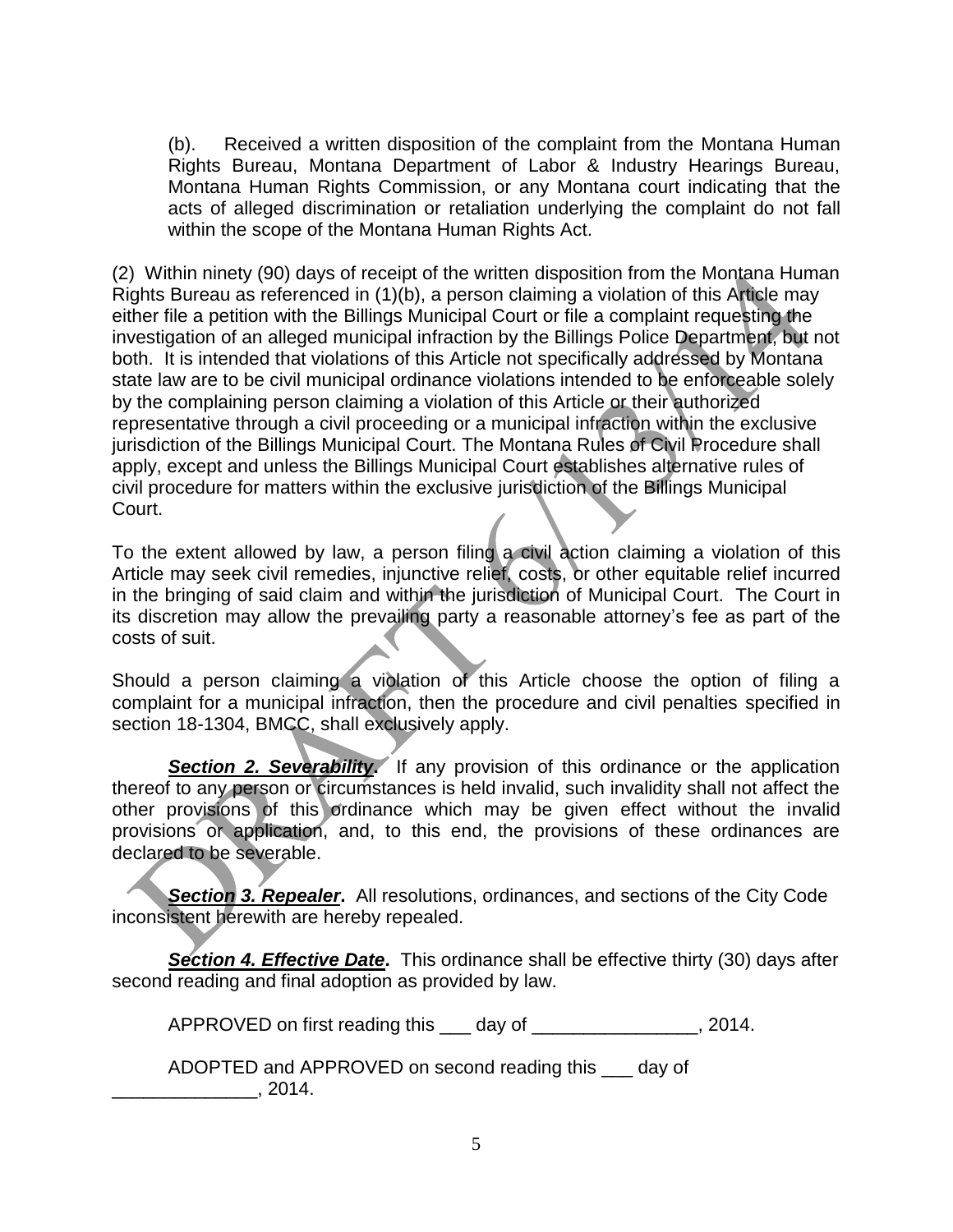(b). Received a written disposition of the complaint from the Montana Human Rights Bureau, Montana Department of Labor & Industry Hearings Bureau, Montana Human Rights Commission, or any Montana court indicating that the acts of alleged discrimination or retaliation underlying the complaint do not fall within the scope of the Montana Human Rights Act.

(2) Within ninety (90) days of receipt of the written disposition from the Montana Human Rights Bureau as referenced in (1)(b), a person claiming a violation of this Article may either file a petition with the Billings Municipal Court or file a complaint requesting the investigation of an alleged municipal infraction by the Billings Police Department, but not both. It is intended that violations of this Article not specifically addressed by Montana state law are to be civil municipal ordinance violations intended to be enforceable solely by the complaining person claiming a violation of this Article or their authorized representative through a civil proceeding or a municipal infraction within the exclusive jurisdiction of the Billings Municipal Court. The Montana Rules of Civil Procedure shall apply, except and unless the Billings Municipal Court establishes alternative rules of civil procedure for matters within the exclusive jurisdiction of the Billings Municipal Court.

To the extent allowed by law, a person filing a civil action claiming a violation of this Article may seek civil remedies, injunctive relief, costs, or other equitable relief incurred in the bringing of said claim and within the jurisdiction of Municipal Court. The Court in its discretion may allow the prevailing party a reasonable attorney's fee as part of the costs of suit.

Should a person claiming a violation of this Article choose the option of filing a complaint for a municipal infraction, then the procedure and civil penalties specified in section 18-1304, BMCC, shall exclusively apply.

**Section 2. Severability.** If any provision of this ordinance or the application thereof to any person or circumstances is held invalid, such invalidity shall not affect the other provisions of this ordinance which may be given effect without the invalid provisions or application, and, to this end, the provisions of these ordinances are declared to be severable.

*Section 3. Repealer***.** All resolutions, ordinances, and sections of the City Code inconsistent herewith are hereby repealed.

**Section 4. Effective Date.** This ordinance shall be effective thirty (30) days after second reading and final adoption as provided by law.

APPROVED on first reading this \_\_\_ day of \_\_\_\_\_\_\_\_\_\_\_\_\_\_\_\_, 2014.

ADOPTED and APPROVED on second reading this \_\_\_ day of  $\frac{2014}{201}$